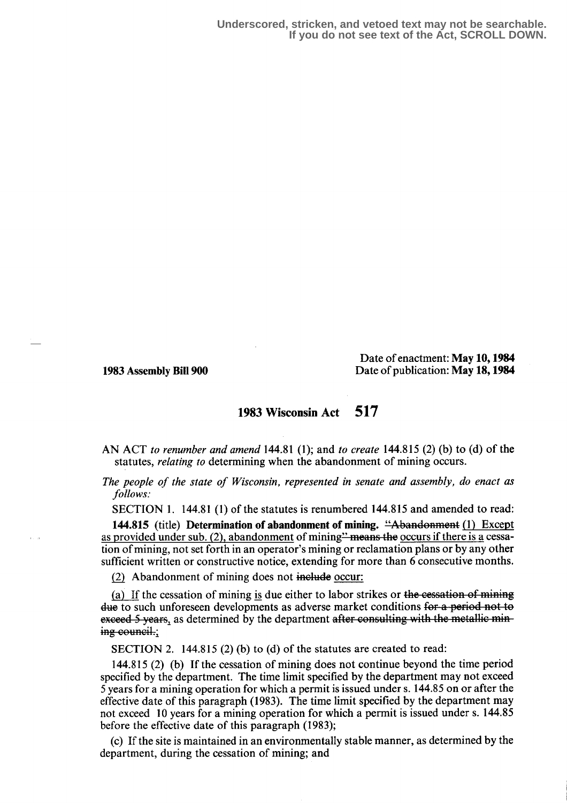Date of enactment: May 10, 1984 1983 Assembly Bill 900 Date of publication: May 18, 1984

## 1983 Wisconsin Act 517

AN ACT to renumber and amend  $144.81$  (1); and to create  $144.815$  (2) (b) to (d) of the statutes, relating to determining when the abandonment of mining occurs.

The people of the state of Wisconsin, represented in senate and assembly, do enact as follows:

SECTION 1. 144.81 (1) of the statutes is renumbered 144.815 and amended to read:

144.815 (title) Determination of abandonment of mining. "Abandonment (1) Except as provided under sub. (2), abandonment of mining  $\frac{m}{2}$  means the occurs if there is a cessation of mining, not set forth in an operator's mining or reclamation plans or by any other sufficient written or constructive notice, extending for more than 6 consecutive months.

(2) Abandonment of mining does not include occur:

(a) If the cessation of mining is due either to labor strikes or the cessation of mining due to such unforeseen developments as adverse market conditions for a period not to exceed 5 years, as determined by the department after consulting with the metallic mining council.;

SECTION 2. 144.815 (2) (b) to (d) of the statutes are created to read:

144.815 (2) (b) If the cessation of mining does not continue beyond the time period specified by the department. The time limit specified by the department may not exceed 5 years for a mining operation for which a permit is issued under s. 144.85 on or after the effective date of this paragraph (1983) . The time limit specified by the department may not exceed 10 years for a mining operation for which a permit is issued under s. 144.85 before the effective date of this paragraph (1983);

(c) If the site is maintained in an environmentally stable manner, as determined by the department, during the cessation of mining; and